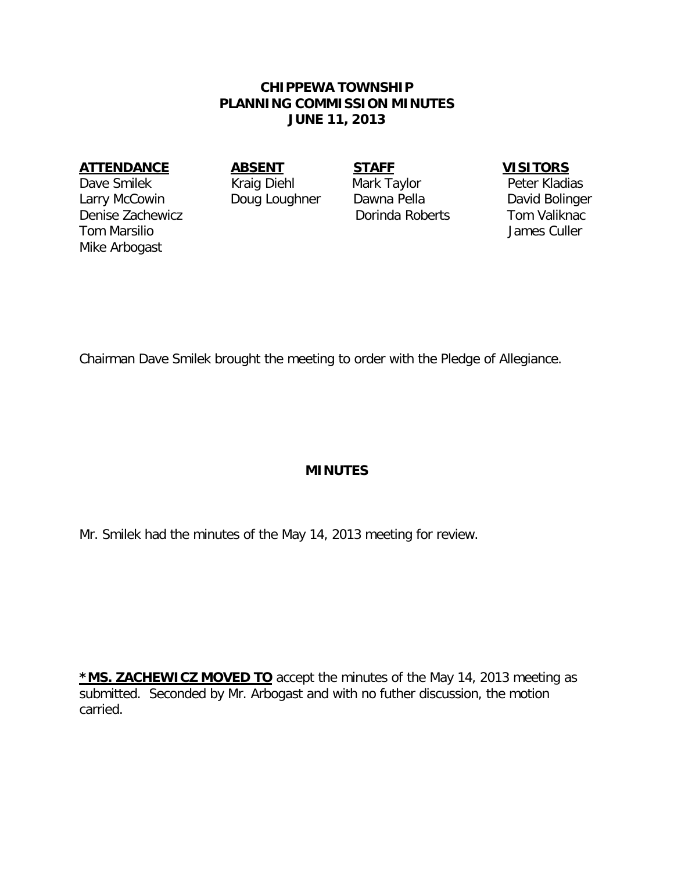### **CHIPPEWA TOWNSHIP PLANNING COMMISSION MINUTES JUNE 11, 2013**

#### **ATTENDANCE ABSENT STAFF VISITORS**

Dave Smilek Kraig Diehl Mark Taylor Peter Kladias Larry McCowin Doug Loughner Dawna Pella David Bolinger Denise Zachewicz Dorinda Roberts Tom Valiknac Tom Marsilio **Accessity Contract Culler** James Culler Mike Arbogast

Chairman Dave Smilek brought the meeting to order with the Pledge of Allegiance.

### **MINUTES**

Mr. Smilek had the minutes of the May 14, 2013 meeting for review.

**\*MS. ZACHEWICZ MOVED TO** accept the minutes of the May 14, 2013 meeting as submitted. Seconded by Mr. Arbogast and with no futher discussion, the motion carried.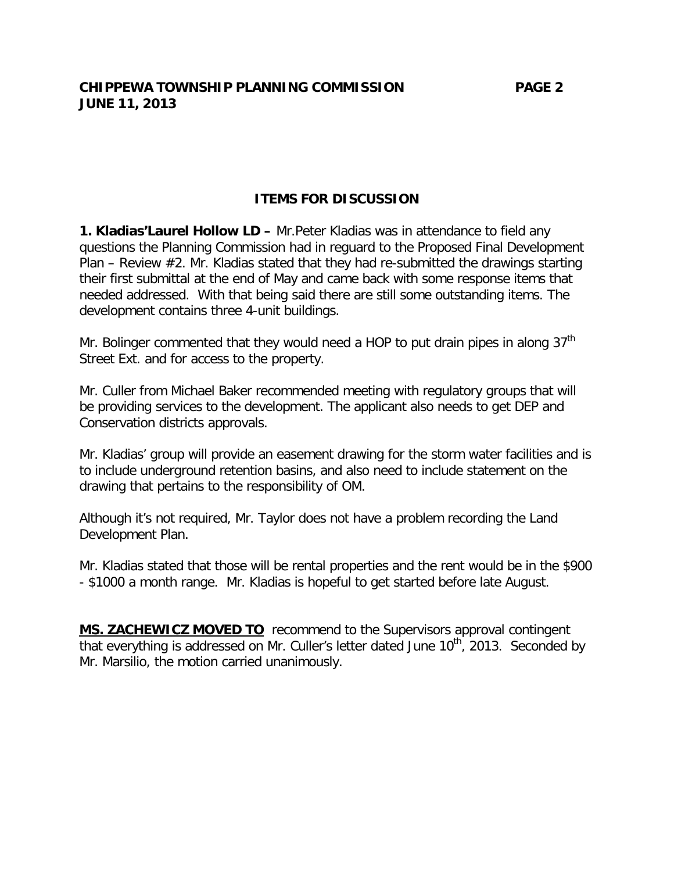## **ITEMS FOR DISCUSSION**

**1. Kladias'Laurel Hollow LD –** Mr.Peter Kladias was in attendance to field any questions the Planning Commission had in reguard to the Proposed Final Development Plan – Review #2. Mr. Kladias stated that they had re-submitted the drawings starting their first submittal at the end of May and came back with some response items that needed addressed. With that being said there are still some outstanding items. The development contains three 4-unit buildings.

Mr. Bolinger commented that they would need a HOP to put drain pipes in along  $37<sup>th</sup>$ Street Ext. and for access to the property.

Mr. Culler from Michael Baker recommended meeting with regulatory groups that will be providing services to the development. The applicant also needs to get DEP and Conservation districts approvals.

Mr. Kladias' group will provide an easement drawing for the storm water facilities and is to include underground retention basins, and also need to include statement on the drawing that pertains to the responsibility of OM.

Although it's not required, Mr. Taylor does not have a problem recording the Land Development Plan.

Mr. Kladias stated that those will be rental properties and the rent would be in the \$900 - \$1000 a month range. Mr. Kladias is hopeful to get started before late August.

**MS. ZACHEWICZ MOVED TO** recommend to the Supervisors approval contingent that everything is addressed on Mr. Culler's letter dated June  $10<sup>th</sup>$ , 2013. Seconded by Mr. Marsilio, the motion carried unanimously.